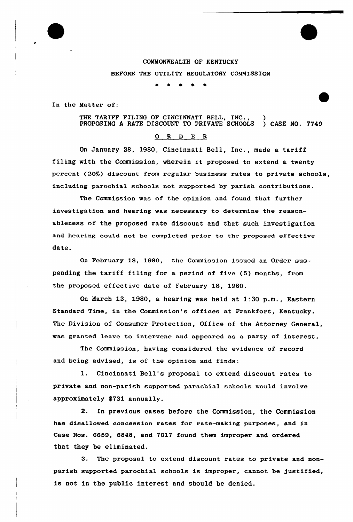

In the Matter of:

THE TARIFF FILING OF CINCINNATI BELL, INC., )<br>PROPOSING A RATE DISCOUNT TO PRIVATE SCHOOLS ) CASE NO. 7749 PROPOSING A RATE DISCOUNT TO PRIVATE SCHOOLS

## 0 <sup>R</sup> <sup>D</sup> E <sup>R</sup>

On January 28, 1980, Cincinnati Bell, Inc., made a tariff filing with the Commission, wherein it proposed to extend a twenty percent (20%) discount from regular business rates to private schools, including parochial schools not supported by parish contributions.

The Commission was of the opinion and found that further investigation and hearing was necessary to determine the reasonableness of the proposed rate discount and that such investigation and hearing could not be completed prior to the proposed effective date.

On February 18, 1980, the Commission issued an Order suspending the tariff filing for <sup>a</sup> period of five (5) months, from the proposed effective date of February 18, 1980.

On March l3, 1980, a hearing was held at 1:30 p.m., Eastern Standard Time, in the Commission's offices at Frankfort, Kentucky. The Division of Consumer Protection, Office of the Attorney General, was granted leave to intervene and appeared as a party of interest.

The Commission, having considered the evidence of record and being advised, is of the opinion and finds:

l. Cincinnati Bell's proposal to extend discount rates to private and non-parish supported parachial schools would involve approximately \$731 annually.

2. In previous cases before the Commission, the Commission has disal1owed concession rates for rate-making purposes, and in Case Nos. 6659, 6848, and 7017 found them improper and ordered that they be eliminated.

3. The proposal to extend discount rates to private and nonparish supported parochial schools is improper, cannot be justified, is not in the public interest and should be denied.